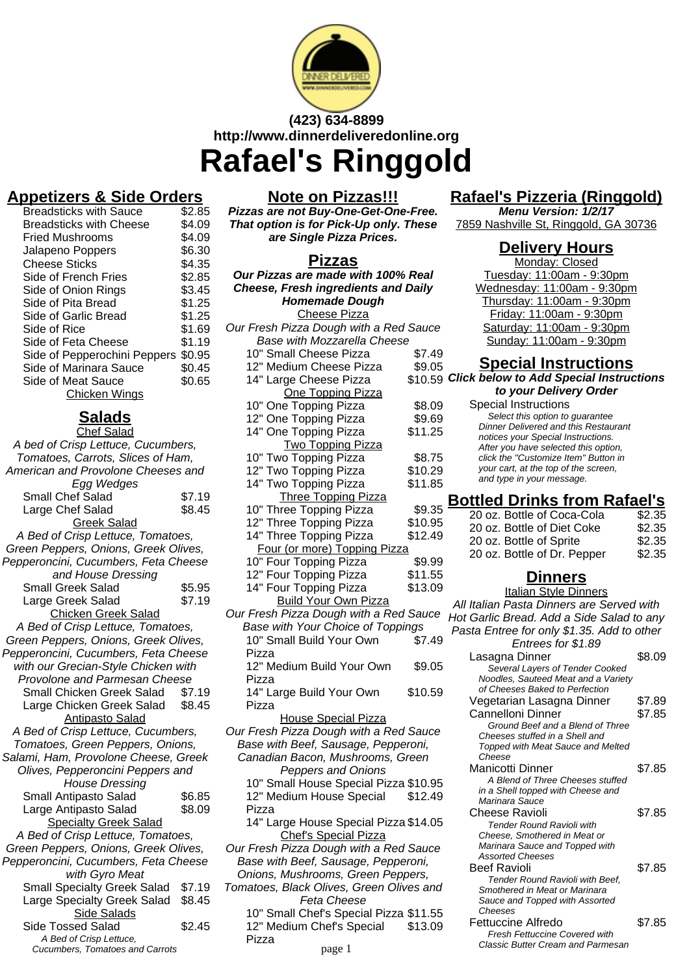

# **(423) 634-8899 http://www.dinnerdeliveredonline.org Rafael's Ringgold**

## **Appetizers & Side Orders**

| <b>Breadsticks with Sauce</b>  | \$2.85 |
|--------------------------------|--------|
| <b>Breadsticks with Cheese</b> | \$4.09 |
| Fried Mushrooms                | \$4.09 |
| Jalapeno Poppers               | \$6.30 |
| <b>Cheese Sticks</b>           | \$4.35 |
| Side of French Fries           | \$2.85 |
| Side of Onion Rings            | \$3.45 |
| Side of Pita Bread             | \$1.25 |
| Side of Garlic Bread           | \$1.25 |
| Side of Rice                   | \$1.69 |
| Side of Feta Cheese            | \$1.19 |
| Side of Pepperochini Peppers   | \$0.95 |
| Side of Marinara Sauce         | \$0.45 |
| Side of Meat Sauce             | \$0.65 |
| <b>Chicken Wings</b>           |        |
|                                |        |

# **Salads**

| <b>Chef Salad</b>                    |        |  |
|--------------------------------------|--------|--|
| A bed of Crisp Lettuce, Cucumbers,   |        |  |
| Tomatoes, Carrots, Slices of Ham,    |        |  |
| American and Provolone Cheeses and   |        |  |
| Egg Wedges                           |        |  |
| Small Chef Salad                     | \$7.19 |  |
| Large Chef Salad                     | \$8.45 |  |
| <b>Greek Salad</b>                   |        |  |
| A Bed of Crisp Lettuce, Tomatoes,    |        |  |
| Green Peppers, Onions, Greek Olives, |        |  |
| Pepperoncini, Cucumbers, Feta Cheese |        |  |
| and House Dressing                   |        |  |
| <b>Small Greek Salad</b>             | \$5.95 |  |
| Large Greek Salad                    | \$7.19 |  |
| <b>Chicken Greek Salad</b>           |        |  |
| A Bed of Crisp Lettuce, Tomatoes,    |        |  |
| Green Peppers, Onions, Greek Olives, |        |  |
| Pepperoncini, Cucumbers, Feta Cheese |        |  |
| with our Grecian-Style Chicken with  |        |  |
| Provolone and Parmesan Cheese        |        |  |
| Small Chicken Greek Salad            | \$7.19 |  |
| Large Chicken Greek Salad \$8.45     |        |  |
| <b>Antipasto Salad</b>               |        |  |
| A Bed of Crisp Lettuce, Cucumbers,   |        |  |
| Tomatoes, Green Peppers, Onions,     |        |  |
| Salami, Ham, Provolone Cheese, Greek |        |  |
| Olives, Pepperoncini Peppers and     |        |  |
| <b>House Dressing</b>                |        |  |
| Small Antipasto Salad                | \$6.85 |  |
| Large Antipasto Salad                | \$8.09 |  |
| <b>Specialty Greek Salad</b>         |        |  |
| A Bed of Crisp Lettuce, Tomatoes,    |        |  |
| Green Peppers, Onions, Greek Olives, |        |  |
| Pepperoncini, Cucumbers, Feta Cheese |        |  |
| with Gyro Meat                       |        |  |
| <b>Small Specialty Greek Salad</b>   | \$7.19 |  |
| Large Specialty Greek Salad          | \$8.45 |  |
| Side Salads                          |        |  |
| <b>Side Tossed Salad</b>             | \$2.45 |  |
| A Bed of Crisp Lettuce,              |        |  |
| Cucumbers, Tomatoes and Carrots      |        |  |

#### **Note on Pizzas!!!**

**Pizzas are not Buy-One-Get-One-Free. That option is for Pick-Up only. These are Single Pizza Prices.**

| <b>Pizzas</b>                                  |         |
|------------------------------------------------|---------|
| Our Pizzas are made with 100% Real             |         |
| <b>Cheese, Fresh ingredients and Daily</b>     |         |
| <b>Homemade Dough</b>                          |         |
| <b>Cheese Pizza</b>                            |         |
| Our Fresh Pizza Dough with a Red Sauce         |         |
| <b>Base with Mozzarella Cheese</b>             |         |
| 10" Small Cheese Pizza                         | \$7.49  |
| 12" Medium Cheese Pizza                        | \$9.05  |
| 14" Large Cheese Pizza<br>One Topping Pizza    | \$10.59 |
| 10" One Topping Pizza                          | \$8.09  |
| 12" One Topping Pizza                          | \$9.69  |
| 14" One Topping Pizza                          | \$11.25 |
| <b>Two Topping Pizza</b>                       |         |
|                                                | \$8.75  |
| 10" Two Topping Pizza<br>12" Two Topping Pizza | \$10.29 |
| 14" Two Topping Pizza                          | \$11.85 |
| <b>Three Topping Pizza</b>                     |         |
| 10" Three Topping Pizza                        | \$9.35  |
| 12" Three Topping Pizza                        | \$10.95 |
| 14" Three Topping Pizza                        | \$12.49 |
| Four (or more) Topping Pizza                   |         |
| 10" Four Topping Pizza                         | \$9.99  |
| 12" Four Topping Pizza                         | \$11.55 |
| 14" Four Topping Pizza                         | \$13.09 |
| <b>Build Your Own Pizza</b>                    |         |
| Our Fresh Pizza Dough with a Red Sauce         |         |
| Base with Your Choice of Toppings              |         |
| 10" Small Build Your Own                       | \$7.49  |
| Pizza<br>12" Medium Build Your Own             |         |
| Pizza                                          | \$9.05  |
| 14" Large Build Your Own                       | \$10.59 |
| Pizza                                          |         |
| <b>House Special Pizza</b>                     |         |
| Our Fresh Pizza Dough with a Red Sauce         |         |
| Base with Beef, Sausage, Pepperoni,            |         |
| Canadian Bacon, Mushrooms, Green               |         |
| <b>Peppers and Onions</b>                      |         |
| 10" Small House Special Pizza \$10.95          |         |
| 12" Medium House Special                       | \$12.49 |
| Pizza                                          |         |
| 14" Large House Special Pizza \$14.05          |         |
| <b>Chef's Special Pizza</b>                    |         |
| Our Fresh Pizza Dough with a Red Sauce         |         |
| Base with Beef, Sausage, Pepperoni,            |         |
| Onions, Mushrooms, Green Peppers,              |         |
| Tomatoes, Black Olives, Green Olives and       |         |
| Feta Cheese                                    |         |
| 10" Small Chef's Special Pizza \$11.55         |         |
| 12" Medium Chef's Special<br>Pizza             | \$13.09 |
|                                                |         |

# **Rafael's Pizzeria (Ringgold)**

**Menu Version: 1/2/17** 7859 Nashville St, Ringgold, GA 30736

## **Delivery Hours**

Monday: Closed Tuesday: 11:00am - 9:30pm Wednesday: 11:00am - 9:30pm Thursday: 11:00am - 9:30pm Friday: 11:00am - 9:30pm Saturday: 11:00am - 9:30pm Sunday: 11:00am - 9:30pm

#### **Special Instructions**

**Click below to Add Special Instructions to your Delivery Order**

|    | <u>IO YUU DEIIYEI Y UIUEI</u>               |
|----|---------------------------------------------|
| 19 | Special Instructions                        |
| 59 | Select this option to guarantee             |
| 25 | <b>Dinner Delivered and this Restaurant</b> |
|    | notices your Special Instructions.          |
|    | After you have selected this option,        |
| 75 | click the "Customize Item" Button in        |
| و. | your cart, at the top of the screen,        |
| 85 | and type in your message.                   |
|    |                                             |

## **Bottled Drinks from Rafael's**

| 20 oz. Bottle of Coca-Cola  | \$2.35 |
|-----------------------------|--------|
| 20 oz. Bottle of Diet Coke  | \$2.35 |
| 20 oz. Bottle of Sprite     | \$2.35 |
| 20 oz. Bottle of Dr. Pepper | \$2.35 |
|                             |        |

# **Dinners**

Italian Style Dinners All Italian Pasta Dinners are Served with Hot Garlic Bread. Add a Side Salad to any Pasta Entree for only \$1.35. Add to other Entrees for \$1.89 Lasagna Dinner \$8.09 Several Layers of Tender Cooked Noodles, Sauteed Meat and a Variety of Cheeses Baked to Perfection Vegetarian Lasagna Dinner \$7.89 Cannelloni Dinner \$7.85 Ground Beef and a Blend of Three Cheeses stuffed in a Shell and Topped with Meat Sauce and Melted **Cheese** Manicotti Dinner \$7.85 A Blend of Three Cheeses stuffed in a Shell topped with Cheese and Marinara Sauce Cheese Ravioli 67.85 Tender Round Ravioli with Cheese, Smothered in Meat or Marinara Sauce and Topped with Assorted Cheeses Beef Ravioli **\$7.85** Tender Round Ravioli with Beef, Smothered in Meat or Marinara Sauce and Topped with Assorted Cheeses Fettuccine Alfredo \$7.85 Fresh Fettuccine Covered with Classic Butter Cream and Parmesan page 1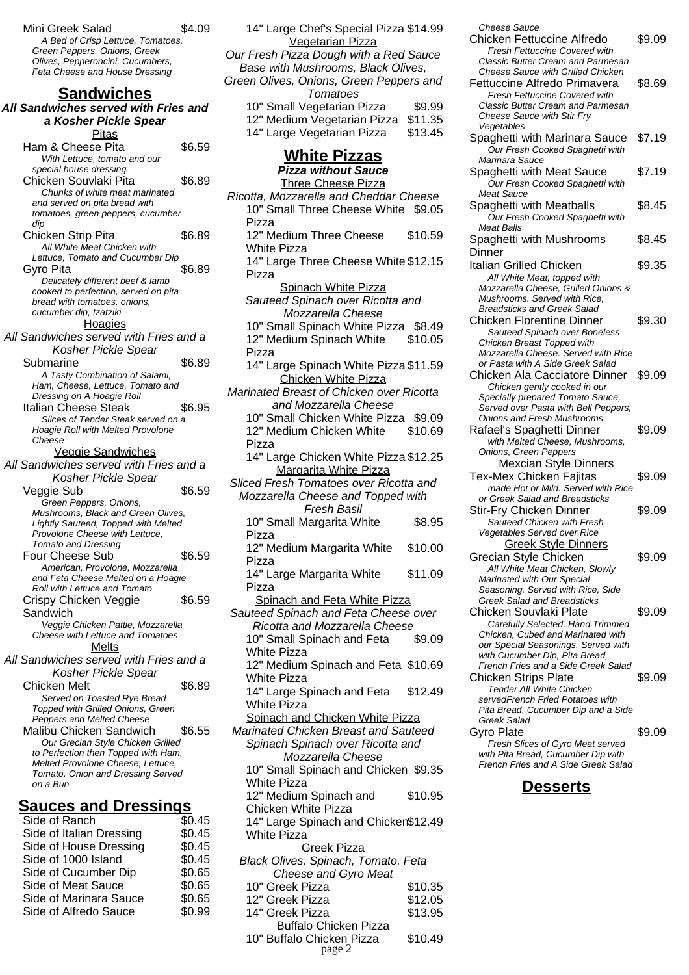Mini Greek Salad \$4.09 A Bed of Crisp Lettuce, Tomatoes, Green Peppers, Onions, Greek Olives, Pepperoncini, Cucumbers, Feta Cheese and House Dressing **Sandwiches All Sandwiches served with Fries and a Kosher Pickle Spear** Pitas

Ham & Cheese Pita \$6.59 With Lettuce, tomato and our special house dressing Chicken Souvlaki Pita  $$6.89$ Chunks of white meat marinated and served on pita bread with tomatoes, green peppers, cucumber dip Chicken Strip Pita  $$6.89$ All White Meat Chicken with Lettuce, Tomato and Cucumber Dip Gyro Pita  $$6.89$ Delicately different beef & lamb cooked to perfection, served on pita bread with tomatoes, onions, cucumber dip, tzatziki Hoagies All Sandwiches served with Fries and a Kosher Pickle Spear Submarine \$6.89 A Tasty Combination of Salami, Ham, Cheese, Lettuce, Tomato and Dressing on A Hoagie Roll Italian Cheese Steak \$6.95 Slices of Tender Steak served on a Hoagie Roll with Melted Provolone Cheese Veggie Sandwiches All Sandwiches served with Fries and a Kosher Pickle Spear Veggie Sub \$6.59 Green Peppers, Onions, Mushrooms, Black and Green Olives, Lightly Sauteed, Topped with Melted Provolone Cheese with Lettuce, Tomato and Dressing Four Cheese Sub \$6.59 American, Provolone, Mozzarella and Feta Cheese Melted on a Hoagie Roll with Lettuce and Tomato Crispy Chicken Veggie Sandwich \$6.59 Veggie Chicken Pattie, Mozzarella Cheese with Lettuce and Tomatoes **Melts** All Sandwiches served with Fries and a Kosher Pickle Spear Chicken Melt \$6.89 Served on Toasted Rye Bread Topped with Grilled Onions, Green Peppers and Melted Cheese Malibu Chicken Sandwich \$6.55 Our Grecian Style Chicken Grilled to Perfection then Topped with Ham, Melted Provolone Cheese, Lettuce,

# **Sauces and Dressings**

on a Bun

Tomato, Onion and Dressing Served

| Side of Ranch            | \$0.45 |
|--------------------------|--------|
| Side of Italian Dressing | \$0.45 |
| Side of House Dressing   | \$0.45 |
| Side of 1000 Island      | \$0.45 |
| Side of Cucumber Dip     | \$0.65 |
| Side of Meat Sauce       | \$0.65 |
| Side of Marinara Sauce   | \$0.65 |
| Side of Alfredo Sauce    | \$0.99 |
|                          |        |

| 14" Large Chef's Special Pizza \$14.99                                  |                    |
|-------------------------------------------------------------------------|--------------------|
| <b>Vegetarian Pizza</b><br>Our Fresh Pizza Dough with a Red Sauce       |                    |
| Base with Mushrooms, Black Olives,                                      |                    |
| Green Olives, Onions, Green Peppers and<br><b>Tomatoes</b>              |                    |
| 10" Small Vegetarian Pizza                                              | \$9.99             |
| 12" Medium Vegetarian Pizza                                             | \$11.35            |
| 14" Large Vegetarian Pizza                                              | \$13.45            |
| <b>White Pizzas</b>                                                     |                    |
| <b>Pizza without Sauce</b><br><b>Three Cheese Pizza</b>                 |                    |
| Ricotta, Mozzarella and Cheddar Cheese                                  |                    |
| 10" Small Three Cheese White \$9.05                                     |                    |
| Pizza<br>12" Medium Three Cheese                                        |                    |
| <b>White Pizza</b>                                                      | \$10.59            |
| 14" Large Three Cheese White \$12.15                                    |                    |
| Pizza                                                                   |                    |
| <b>Spinach White Pizza</b><br>Sauteed Spinach over Ricotta and          |                    |
| Mozzarella Cheese                                                       |                    |
| 10" Small Spinach White Pizza \$8.49                                    |                    |
| 12" Medium Spinach White                                                | \$10.05            |
| Pizza                                                                   |                    |
| 14" Large Spinach White Pizza \$11.59                                   |                    |
| <b>Chicken White Pizza</b><br>Marinated Breast of Chicken over Ricotta  |                    |
| and Mozzarella Cheese                                                   |                    |
| 10" Small Chicken White Pizza \$9.09                                    |                    |
| 12" Medium Chicken White                                                | \$10.69            |
| Pizza                                                                   |                    |
| 14" Large Chicken White Pizza \$12.25                                   |                    |
| Margarita White Pizza<br>Sliced Fresh Tomatoes over Ricotta and         |                    |
| Mozzarella Cheese and Topped with                                       |                    |
| Fresh Basil                                                             |                    |
| 10" Small Margarita White                                               | \$8.95             |
| Pizza<br>12" Medium Margarita White                                     | \$10.00            |
| Pizza                                                                   |                    |
| 14" Large Margarita White                                               | \$11.09            |
| Pizza<br>Spinach and Feta White Pizza                                   |                    |
| Sauteed Spinach and Feta Cheese over                                    |                    |
| Ricotta and Mozzarella Cheese                                           |                    |
| 10" Small Spinach and Feta                                              | \$9.09             |
| White Pizza<br>12" Medium Spinach and Feta \$10.69                      |                    |
| <b>White Pizza</b>                                                      |                    |
| 14" Large Spinach and Feta                                              | \$12.49            |
| <b>White Pizza</b>                                                      |                    |
| Spinach and Chicken White Pizza<br>Marinated Chicken Breast and Sauteed |                    |
| Spinach Spinach over Ricotta and                                        |                    |
| Mozzarella Cheese                                                       |                    |
| 10" Small Spinach and Chicken \$9.35                                    |                    |
| <b>White Pizza</b>                                                      |                    |
| 12" Medium Spinach and<br>Chicken White Pizza                           | \$10.95            |
| 14" Large Spinach and Chicken\$12.49                                    |                    |
| <b>White Pizza</b>                                                      |                    |
| <b>Greek Pizza</b>                                                      |                    |
| Black Olives, Spinach, Tomato, Feta                                     |                    |
| Cheese and Gyro Meat<br>10" Greek Pizza                                 | \$10.35            |
| 12" Greek Pizza                                                         |                    |
|                                                                         |                    |
| 14" Greek Pizza                                                         | \$12.05<br>\$13.95 |

10" Buffalo Chicken Pizza \$10.49 page 2

Cheese Sauce Chicken Fettuccine Alfredo \$9.09 Fresh Fettuccine Covered with Classic Butter Cream and Parmesan Cheese Sauce with Grilled Chicken Fettuccine Alfredo Primavera \$8.69 Fresh Fettuccine Covered with Classic Butter Cream and Parmesan Cheese Sauce with Stir Fry Vegetables Spaghetti with Marinara Sauce \$7.19 Our Fresh Cooked Spaghetti with Marinara Sauce Spaghetti with Meat Sauce \$7.19 Our Fresh Cooked Spaghetti with Meat Sauce Spaghetti with Meatballs \$8.45 Our Fresh Cooked Spaghetti with Meat Balls Spaghetti with Mushrooms Dinner \$8.45 Italian Grilled Chicken \$9.35 All White Meat, topped with Mozzarella Cheese, Grilled Onions & Mushrooms. Served with Rice, Breadsticks and Greek Salad Chicken Florentine Dinner \$9.30 Sauteed Spinach over Boneless Chicken Breast Topped with Mozzarella Cheese. Served with Rice or Pasta with A Side Greek Salad Chicken Ala Cacciatore Dinner \$9.09 Chicken gently cooked in our Specially prepared Tomato Sauce. Served over Pasta with Bell Peppers, Onions and Fresh Mushrooms. Rafael's Spaghetti Dinner \$9.09 with Melted Cheese, Mushrooms, Onions, Green Peppers Mexcian Style Dinners Tex-Mex Chicken Fajitas \$9.09 made Hot or Mild. Served with Rice or Greek Salad and Breadsticks Stir-Fry Chicken Dinner \$9.09 Sauteed Chicken with Fresh Vegetables Served over Rice Greek Style Dinners Grecian Style Chicken \$9.09 All White Meat Chicken, Slowly Marinated with Our Special Seasoning. Served with Rice, Side Greek Salad and Breadsticks Chicken Souvlaki Plate \$9.09 Carefully Selected, Hand Trimmed Chicken, Cubed and Marinated with our Special Seasonings. Served with with Cucumber Dip, Pita Bread, French Fries and a Side Greek Salad Chicken Strips Plate \$9.09 Tender All White Chicken servedFrench Fried Potatoes with Pita Bread, Cucumber Dip and a Side Greek Salad Gyro Plate \$9.09 Fresh Slices of Gyro Meat served with Pita Bread, Cucumber Dip with French Fries and A Side Greek Salad

#### **Desserts**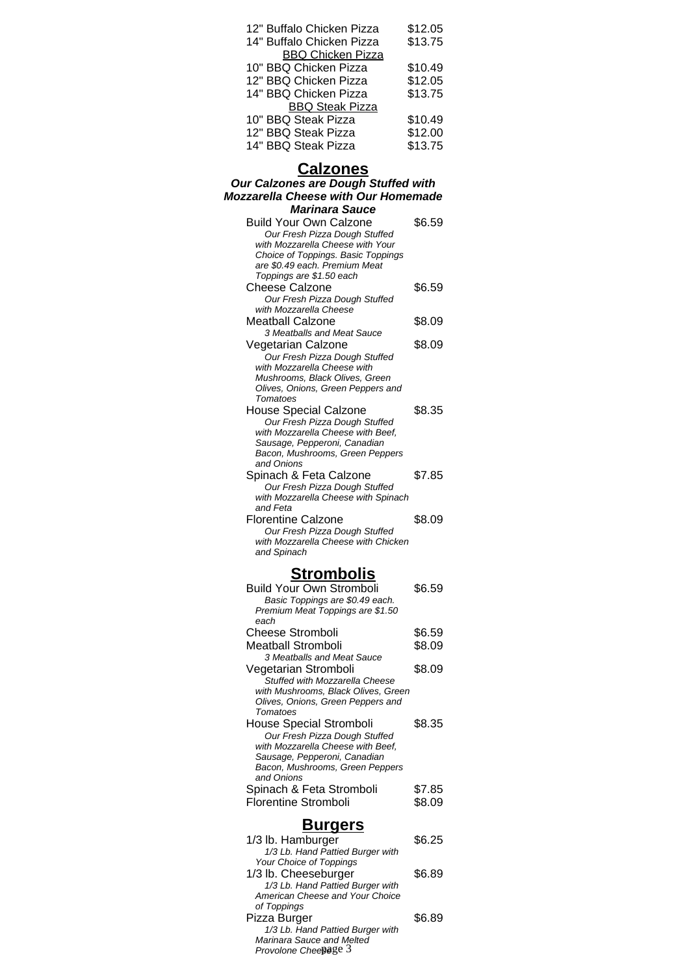| 12" Buffalo Chicken Pizza | \$12.05 |
|---------------------------|---------|
| 14" Buffalo Chicken Pizza | \$13.75 |
| <b>BBQ Chicken Pizza</b>  |         |
| 10" BBQ Chicken Pizza     | \$10.49 |
| 12" BBQ Chicken Pizza     | \$12.05 |
| 14" BBQ Chicken Pizza     | \$13.75 |
| <b>BBQ Steak Pizza</b>    |         |
| 10" BBQ Steak Pizza       | \$10.49 |
| 12" BBQ Steak Pizza       | \$12.00 |
| 14" BBQ Steak Pizza       | \$13.75 |

#### **Calzones**

#### **Our Calzones are Dough Stuffed with Mozzarella Cheese with Our Homemade Marinara Sauce**

| <i>warinara sauce</i>                                           |        |
|-----------------------------------------------------------------|--------|
| <b>Build Your Own Calzone</b>                                   | \$6.59 |
| Our Fresh Pizza Dough Stuffed                                   |        |
| with Mozzarella Cheese with Your                                |        |
| Choice of Toppings. Basic Toppings                              |        |
| are \$0.49 each. Premium Meat                                   |        |
| Toppings are \$1.50 each                                        |        |
| Cheese Calzone                                                  | \$6.59 |
| Our Fresh Pizza Dough Stuffed                                   |        |
| with Mozzarella Cheese                                          |        |
| Meatball Calzone                                                | \$8.09 |
| 3 Meatballs and Meat Sauce                                      |        |
| Vegetarian Calzone                                              | \$8.09 |
| Our Fresh Pizza Dough Stuffed                                   |        |
| with Mozzarella Cheese with                                     |        |
| Mushrooms, Black Olives, Green                                  |        |
| Olives, Onions, Green Peppers and                               |        |
| Tomatoes                                                        |        |
| <b>House Special Calzone</b>                                    | \$8.35 |
| Our Fresh Pizza Dough Stuffed                                   |        |
| with Mozzarella Cheese with Beef,                               |        |
| Sausage, Pepperoni, Canadian                                    |        |
| Bacon, Mushrooms, Green Peppers                                 |        |
| and Onions                                                      |        |
| Spinach & Feta Calzone                                          | \$7.85 |
| Our Fresh Pizza Dough Stuffed                                   |        |
| with Mozzarella Cheese with Spinach                             |        |
| and Feta                                                        |        |
| <b>Florentine Calzone</b>                                       |        |
|                                                                 | \$8.09 |
| Our Fresh Pizza Dough Stuffed                                   |        |
| with Mozzarella Cheese with Chicken                             |        |
| and Spinach                                                     |        |
|                                                                 |        |
| <b>Strombolis</b>                                               |        |
| <b>Build Your Own Stromboli</b>                                 | \$6.59 |
|                                                                 |        |
| Basic Toppings are \$0.49 each.                                 |        |
| Premium Meat Toppings are \$1.50<br>each                        |        |
| <b>Cheese Stromboli</b>                                         | \$6.59 |
|                                                                 |        |
| <b>Meatball Stromboli</b>                                       | \$8.09 |
| 3 Meatballs and Meat Sauce                                      |        |
| Vegetarian Stromboli                                            | \$8.09 |
| Stuffed with Mozzarella Cheese                                  |        |
| with Mushrooms, Black Olives, Green                             |        |
| Olives, Onions, Green Peppers and<br>Tomatoes                   |        |
|                                                                 |        |
| <b>House Special Stromboli</b>                                  | \$8.35 |
| Our Fresh Pizza Dough Stuffed                                   |        |
| with Mozzarella Cheese with Beef,                               |        |
| Sausage, Pepperoni, Canadian<br>Bacon, Mushrooms, Green Peppers |        |
| and Onions                                                      |        |
|                                                                 | \$7.85 |
| Spinach & Feta Stromboli                                        |        |
| <b>Florentine Stromboli</b>                                     | \$8.09 |

#### **Burgers**

| 1/3 lb. Hamburger                | \$6.25 |
|----------------------------------|--------|
| 1/3 Lb. Hand Pattied Burger with |        |
| Your Choice of Toppings          |        |
| 1/3 lb. Cheeseburger             | \$6.89 |
| 1/3 Lb. Hand Pattied Burger with |        |
| American Cheese and Your Choice  |        |
| of Toppings                      |        |
| Pizza Burger                     | \$6.89 |
| 1/3 Lb. Hand Pattied Burger with |        |
| Marinara Sauce and Melted        |        |
| Provolone Cheepage 3             |        |